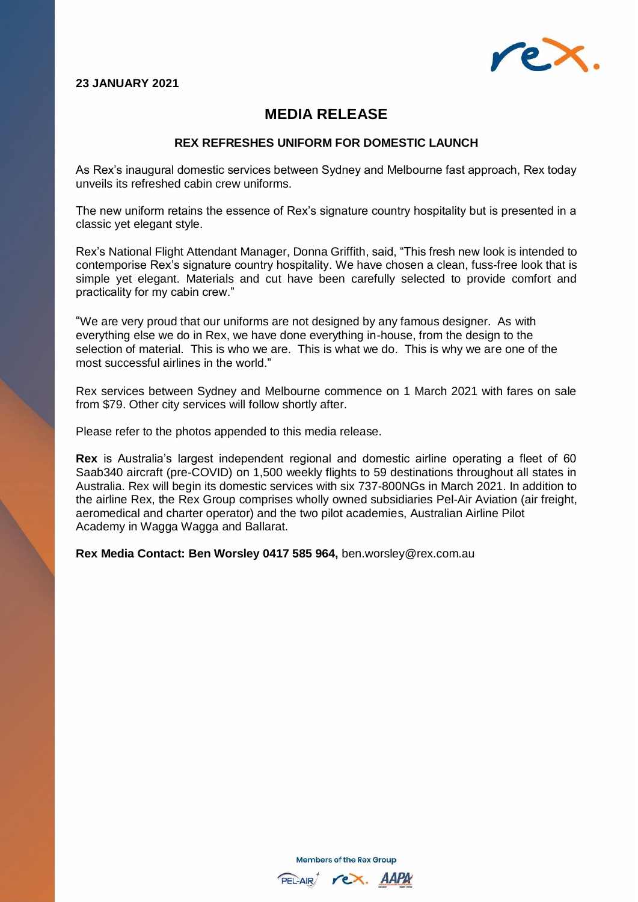## **23 JANUARY 2021**



## **MEDIA RELEASE**

## **REX REFRESHES UNIFORM FOR DOMESTIC LAUNCH**

As Rex's inaugural domestic services between Sydney and Melbourne fast approach, Rex today unveils its refreshed cabin crew uniforms.

The new uniform retains the essence of Rex's signature country hospitality but is presented in a classic yet elegant style.

Rex's National Flight Attendant Manager, Donna Griffith, said, "This fresh new look is intended to contemporise Rex's signature country hospitality. We have chosen a clean, fuss-free look that is simple yet elegant. Materials and cut have been carefully selected to provide comfort and practicality for my cabin crew."

"We are very proud that our uniforms are not designed by any famous designer. As with everything else we do in Rex, we have done everything in-house, from the design to the selection of material. This is who we are. This is what we do. This is why we are one of the most successful airlines in the world."

Rex services between Sydney and Melbourne commence on 1 March 2021 with fares on sale from \$79. Other city services will follow shortly after.

Please refer to the photos appended to this media release.

**Rex** is Australia's largest independent regional and domestic airline operating a fleet of 60 Saab340 aircraft (pre-COVID) on 1,500 weekly flights to 59 destinations throughout all states in Australia. Rex will begin its domestic services with six 737-800NGs in March 2021. In addition to the airline Rex, the Rex Group comprises wholly owned subsidiaries Pel-Air Aviation (air freight, aeromedical and charter operator) and the two pilot academies, Australian Airline Pilot Academy in Wagga Wagga and Ballarat.

**Rex Media Contact: Ben Worsley 0417 585 964,** [ben.worsley@rex.com.au](mailto:ben.worsley@rex.com.au)

**Members of the Rex Group** 

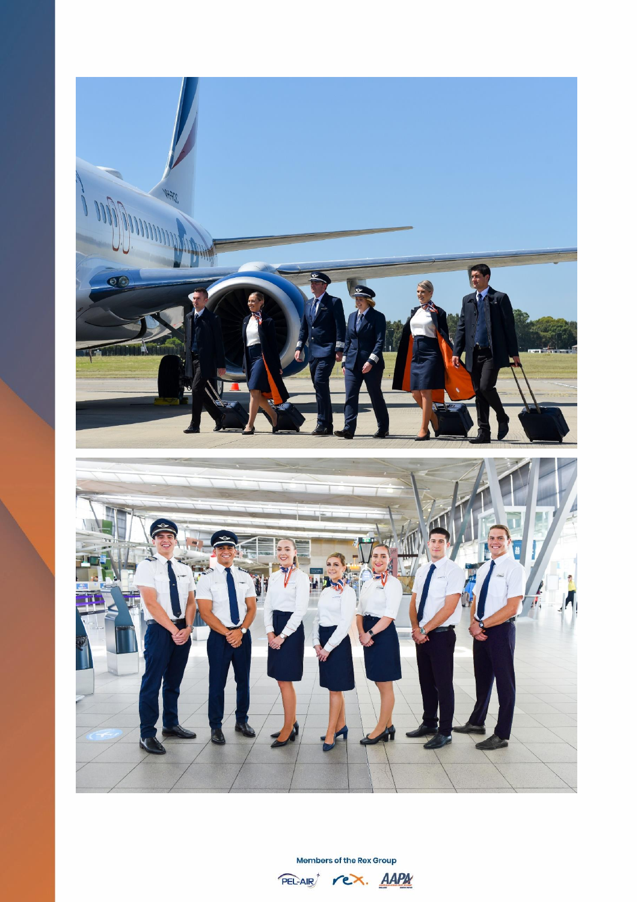

Members of the Rex Group